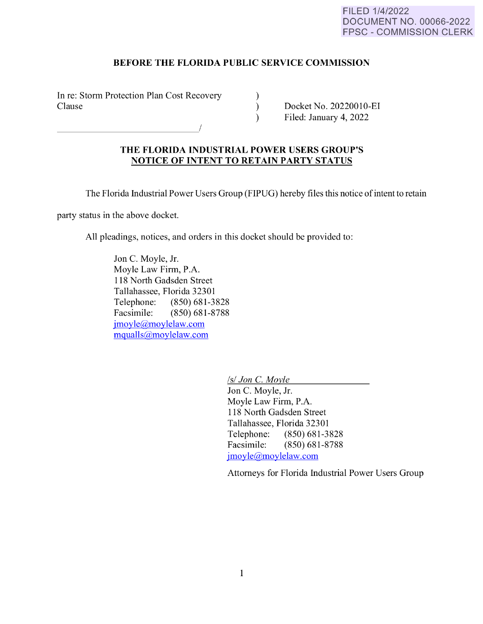## FILED 1/4/2022 DOCUMENT NO. 00066-2022 FPSC - COMMISSION CLERK

## **BEFORE THE FLORIDA PUBLIC SERVICE COMMISSION**

In re: Storm Protection Plan Cost Recovery Clause

-------------<sup>I</sup>

Docket No. 20220010-EI Filed: January 4, 2022

## **THE FLORIDA INDUSTRIAL POWER USERS GROUP'S NOTICE OF INTENT TO RETAIN PARTY STATUS**

The Florida Industrial Power Users Group (FIPUG) hereby files this notice ofintent to retain

) )  $\lambda$ 

party status in the above docket.

All pleadings, notices, and orders in this docket should be provided to:

Jon C. Moyle, Jr. Moyle Law Firm, P.A. 118 North Gadsden Street Tallahassee, Florida 32301 Telephone: (850) 681-3828 Facsimile: (850) 681-8788 [jmoyle@moylelaw.com](mailto:jmoyle@moylelaw.com)  [mqualls@moylelaw.com](mailto:mqualls@moylelaw.com) 

*Isl Jon* C. *Moyle* 

Jon C. Moyle, Jr. Moyle Law Firm, P.A. 118 North Gadsden Street Tallahassee, Florida 32301 Telephone: (850) 681-3828 Facsimile: (850) 681-8788 [jmoyle@moylelaw.com](mailto:jmoyle@moylelaw.com) 

Attorneys for Florida Industrial Power Users Group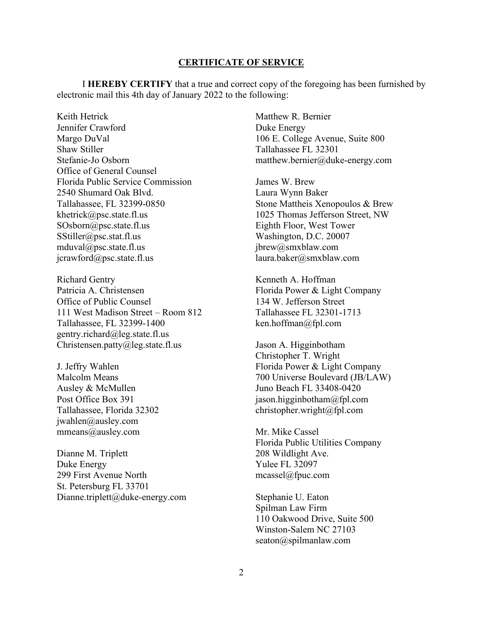## **CERTIFICATE OF SERVICE**

I **HEREBY CERTIFY** that a true and correct copy of the foregoing has been furnished by electronic mail this 4th day of January 2022 to the following:

Keith Hetrick Jennifer Crawford Margo DuVal Shaw Stiller Stefanie-Jo Osborn Office of General Counsel Florida Public Service Commission 2540 Shumard Oak Blvd. Tallahassee, FL 32399-0850 [khetrick@psc.state.fl.us](mailto:khetrick@psc.state.fl.us)  [SOsborn@psc.state.fl.us](mailto:SOsborn@psc.state.fl.us) [SStiller@psc.stat.fl.us](mailto:SStiller@psc.stat.fl.us) [mduval@psc.state.fl.us](mailto:mduval@psc.state.fl.us) [jcrawford@psc.state.fl.us](mailto:jcrawford@psc.state.fl.us)

Richard Gentry Patricia A. Christensen Office of Public Counsel 111 West Madison Street – Room 812 Tallahassee, FL 32399-1400 [gentry.richard@leg.state.fl.us](mailto:gentry.richard@leg.state.fl.us) [Christensen.patty@leg.state.fl.us](mailto:Christensen.patty@leg.state.fl.us)

J. Jeffry Wahlen Malcolm Means Ausley & McMullen Post Office Box 391 Tallahassee, Florida 32302 [jwahlen@ausley.com](mailto:jwahlen@ausley.com) mmeans@ausley.com

Dianne M. Triplett Duke Energy 299 First Avenue North St. Petersburg FL 33701 Dianne.triplett@duke-energy.com Matthew R. Bernier Duke Energy 106 E. College Avenue, Suite 800 Tallahassee FL 32301 [matthew.bernier@duke-energy.com](mailto:matthew.bernier@duke-energy.com)

James W. Brew Laura Wynn Baker Stone Mattheis Xenopoulos & Brew 1025 Thomas Jefferson Street, NW Eighth Floor, West Tower Washington, D.C. 20007 jbrew@smxblaw.com laura.baker@smxblaw.com

Kenneth A. Hoffman Florida Power & Light Company 134 W. Jefferson Street Tallahassee FL 32301-1713 ken.hoffman@fpl.com

Jason A. Higginbotham Christopher T. Wright Florida Power & Light Company 700 Universe Boulevard (JB/LAW) Juno Beach FL 33408-0420 jason.higginbotham@fpl.com christopher.wright@fpl.com

Mr. Mike Cassel Florida Public Utilities Company 208 Wildlight Ave. Yulee FL 32097 [mcassel@fpuc.com](mailto:mcassel@fpuc.com)

Stephanie U. Eaton Spilman Law Firm 110 Oakwood Drive, Suite 500 Winston-Salem NC 27103 [seaton@spilmanlaw.com](mailto:seaton@spilmanlaw.com)